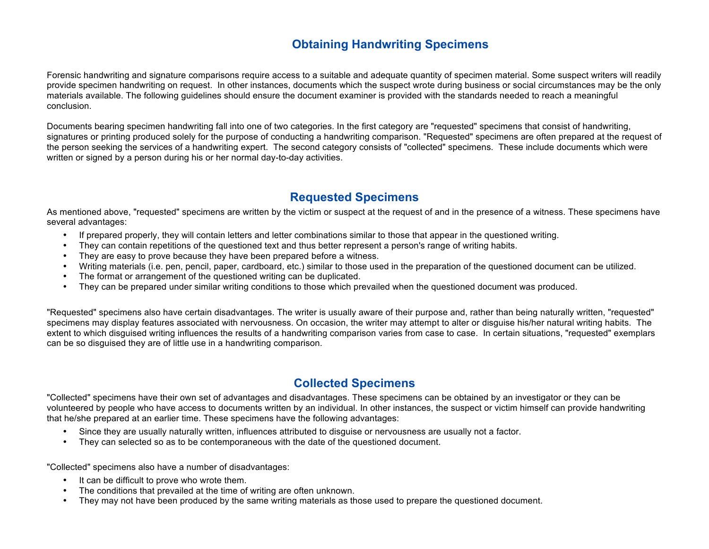# **Obtaining Handwriting Specimens**

Forensic handwriting and signature comparisons require access to a suitable and adequate quantity of specimen material. Some suspect writers will readily provide specimen handwriting on request. In other instances, documents which the suspect wrote during business or social circumstances may be the only materials available. The following guidelines should ensure the document examiner is provided with the standards needed to reach a meaningful conclusion.

Documents bearing specimen handwriting fall into one of two categories. In the first category are "requested" specimens that consist of handwriting, signatures or printing produced solely for the purpose of conducting a handwriting comparison. "Requested" specimens are often prepared at the request of the person seeking the services of a handwriting expert. The second category consists of "collected" specimens. These include documents which were written or signed by a person during his or her normal day-to-day activities.

## **Requested Specimens**

As mentioned above, "requested" specimens are written by the victim or suspect at the request of and in the presence of a witness. These specimens have several advantages:

- If prepared properly, they will contain letters and letter combinations similar to those that appear in the questioned writing.
- They can contain repetitions of the questioned text and thus better represent a person's range of writing habits.
- They are easy to prove because they have been prepared before a witness.
- Writing materials (i.e. pen, pencil, paper, cardboard, etc.) similar to those used in the preparation of the questioned document can be utilized.
- The format or arrangement of the questioned writing can be duplicated.
- They can be prepared under similar writing conditions to those which prevailed when the questioned document was produced.

"Requested" specimens also have certain disadvantages. The writer is usually aware of their purpose and, rather than being naturally written, "requested" specimens may display features associated with nervousness. On occasion, the writer may attempt to alter or disguise his/her natural writing habits. The extent to which disguised writing influences the results of a handwriting comparison varies from case to case. In certain situations, "requested" exemplars can be so disguised they are of little use in a handwriting comparison.

## **Collected Specimens**

"Collected" specimens have their own set of advantages and disadvantages. These specimens can be obtained by an investigator or they can be volunteered by people who have access to documents written by an individual. In other instances, the suspect or victim himself can provide handwriting that he/she prepared at an earlier time. These specimens have the following advantages:

- Since they are usually naturally written, influences attributed to disguise or nervousness are usually not a factor.
- They can selected so as to be contemporaneous with the date of the questioned document.

"Collected" specimens also have a number of disadvantages:

- It can be difficult to prove who wrote them.
- The conditions that prevailed at the time of writing are often unknown.
- They may not have been produced by the same writing materials as those used to prepare the questioned document.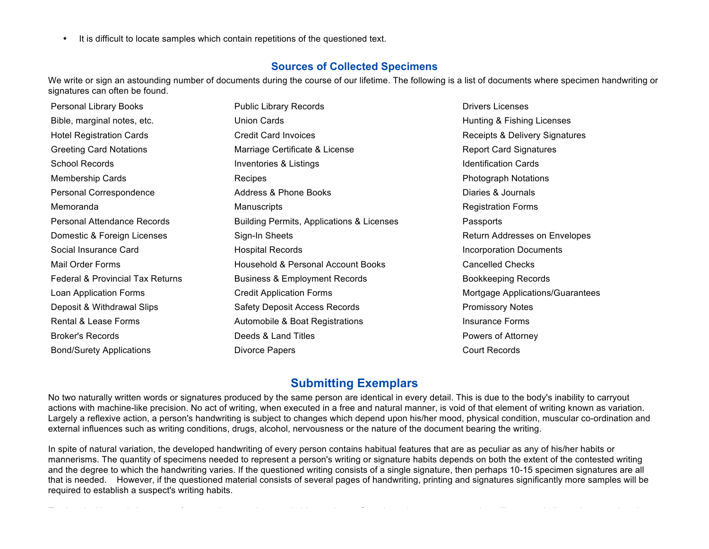• It is difficult to locate samples which contain repetitions of the questioned text.

#### **Sources of Collected Specimens**

We write or sign an astounding number of documents during the course of our lifetime. The following is a list of documents where specimen handwriting or signatures can often be found.

| Personal Library Books                      | <b>Public Library Records</b>             | <b>Drivers Licenses</b>          |
|---------------------------------------------|-------------------------------------------|----------------------------------|
| Bible, marginal notes, etc.                 | <b>Union Cards</b>                        | Hunting & Fishing Licenses       |
| <b>Hotel Registration Cards</b>             | <b>Credit Card Invoices</b>               | Receipts & Delivery Signatures   |
| <b>Greeting Card Notations</b>              | Marriage Certificate & License            | <b>Report Card Signatures</b>    |
| <b>School Records</b>                       | Inventories & Listings                    | <b>Identification Cards</b>      |
| <b>Membership Cards</b>                     | Recipes                                   | <b>Photograph Notations</b>      |
| Personal Correspondence                     | Address & Phone Books                     | Diaries & Journals               |
| Memoranda                                   | <b>Manuscripts</b>                        | <b>Registration Forms</b>        |
| Personal Attendance Records                 | Building Permits, Applications & Licenses | Passports                        |
| Domestic & Foreign Licenses                 | Sign-In Sheets                            | Return Addresses on Envelopes    |
| Social Insurance Card                       | <b>Hospital Records</b>                   | <b>Incorporation Documents</b>   |
| Mail Order Forms                            | Household & Personal Account Books        | <b>Cancelled Checks</b>          |
| <b>Federal &amp; Provincial Tax Returns</b> | <b>Business &amp; Employment Records</b>  | <b>Bookkeeping Records</b>       |
| Loan Application Forms                      | <b>Credit Application Forms</b>           | Mortgage Applications/Guarantees |
| Deposit & Withdrawal Slips                  | <b>Safety Deposit Access Records</b>      | <b>Promissory Notes</b>          |
| Rental & Lease Forms                        | Automobile & Boat Registrations           | <b>Insurance Forms</b>           |
| <b>Broker's Records</b>                     | Deeds & Land Titles                       | Powers of Attorney               |
| <b>Bond/Surety Applications</b>             | Divorce Papers                            | <b>Court Records</b>             |

#### **Submitting Exemplars**

No two naturally written words or signatures produced by the same person are identical in every detail. This is due to the body's inability to carryout actions with machine-like precision. No act of writing, when executed in a free and natural manner, is void of that element of writing known as variation. Largely a reflexive action, a person's handwriting is subject to changes which depend upon his/her mood, physical condition, muscular co-ordination and external influences such as writing conditions, drugs, alcohol, nervousness or the nature of the document bearing the writing.

In spite of natural variation, the developed handwriting of every person contains habitual features that are as peculiar as any of his/her habits or mannerisms. The quantity of specimens needed to represent a person's writing or signature habits depends on both the extent of the contested writing and the degree to which the handwriting varies. If the questioned writing consists of a single signature, then perhaps 10-15 specimen signatures are all that is needed. However, if the questioned material consists of several pages of handwriting, printing and signatures significantly more samples will be required to establish a suspect's writing habits.